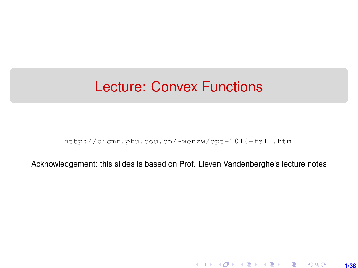## <span id="page-0-0"></span>Lecture: Convex Functions

[http://bicmr.pku.edu.cn/~wenzw/opt-2018-fall.html](http://bicmr.pku.edu.cn/~wenzw/opt-2018-fall.html )

Acknowledgement: this slides is based on Prof. Lieven Vandenberghe's lecture notes

**1/38**

K ロ ▶ K 레 ▶ K 호 ▶ K 호 ▶ → 호 → 900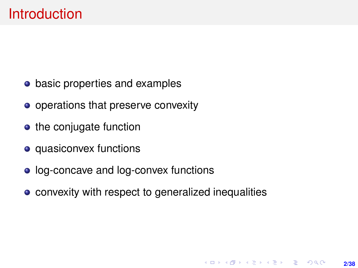- basic properties and examples
- operations that preserve convexity
- $\bullet$  the conjugate function
- quasiconvex functions
- log-concave and log-convex functions
- convexity with respect to generalized inequalities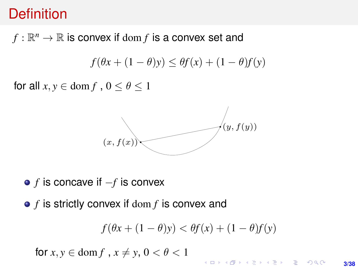### **Definition**

 $f:\mathbb{R}^n\rightarrow\mathbb{R}$  is convex if  $\text{dom }f$  is a convex set and

$$
f(\theta x + (1 - \theta)y) \le \theta f(x) + (1 - \theta)f(y)
$$

for all  $x, y \in \text{dom } f$ ,  $0 \le \theta \le 1$  $f(x) = f(x)$  y  $f(x) = f(x)$ 



**•** *f* is concave if  $-f$  is convex

 $\epsilon$  f is strictly convex if dom f is convex and *f* is strictly convex if dom *f* is convex and

$$
f(\theta x + (1 - \theta)y) < \theta f(x) + (1 - \theta)f(y)
$$

for  $x, y \in \text{dom } f$ ,  $x \neq y, 0 < \theta < 1$ 

**KORKARK (EXIST) E MOOR 3/38**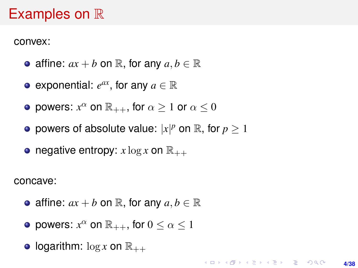### Examples on  $\mathbb R$

convex:

- affine:  $ax + b$  on  $\mathbb{R}$ , for any  $a, b \in \mathbb{R}$
- exponential:  $e^{ax}$ , for any  $a \in \mathbb{R}$
- powers:  $x^{\alpha}$  on  $\mathbb{R}_{++}$ , for  $\alpha \geq 1$  or  $\alpha \leq 0$
- powers of absolute value:  $|x|^p$  on  $\mathbb{R}$ , for  $p \geq 1$
- negative entropy:  $x \log x$  on  $\mathbb{R}_{++}$

concave:

- affine:  $ax + b$  on  $\mathbb{R}$ , for any  $a, b \in \mathbb{R}$
- powers:  $x^{\alpha}$  on  $\mathbb{R}_{++}$ , for  $0 \leq \alpha \leq 1$
- **logarithm:**  $\log x$  on  $\mathbb{R}_{++}$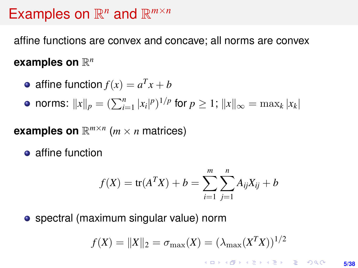# Examples on  $\mathbb{R}^n$  and  $\mathbb{R}^{m \times n}$

affine functions are convex and concave; all norms are convex

### examples on  $\mathbb{R}^n$

• affine function 
$$
f(x) = a^T x + b
$$

norms:  $||x||_p = (\sum_{i=1}^n |x_i|^p)^{1/p}$  for  $p \ge 1$ ;  $||x||_{\infty} = \max_k |x_k|$ 

# **examples on**  $\mathbb{R}^{m \times n}$  ( $m \times n$  matrices)

**•** affine function

$$
f(X) = \text{tr}(A^T X) + b = \sum_{i=1}^{m} \sum_{j=1}^{n} A_{ij} X_{ij} + b
$$

spectral (maximum singular value) norm

$$
f(X) = ||X||_2 = \sigma_{\max}(X) = (\lambda_{\max}(X^T X))^{1/2}
$$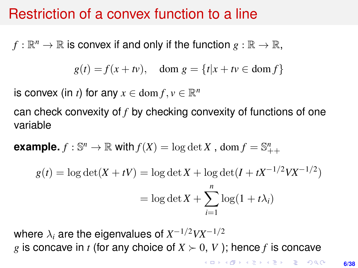### Restriction of a convex function to a line

 $f:\mathbb{R}^n\to\mathbb{R}$  is convex if and only if the function  $g:\mathbb{R}\to\mathbb{R},$ 

$$
g(t) = f(x + tv), \quad \text{dom } g = \{t | x + tv \in \text{dom } f\}
$$

is convex (in *t*) for any  $x \in \text{dom } f, v \in \mathbb{R}^n$ 

can check convexity of *f* by checking convexity of functions of one variable

**example.**  $f : \mathbb{S}^n \to \mathbb{R}$  with  $f(X) = \log \det X$ ,  $\text{dom } f = \mathbb{S}_{++}^n$ 

$$
g(t) = \log \det(X + tV) = \log \det X + \log \det(I + tX^{-1/2}VX^{-1/2})
$$

$$
= \log \det X + \sum_{i=1}^{n} \log(1 + t\lambda_i)
$$

where  $\lambda_i$  are the eigenvalues of  $X^{-1/2}VX^{-1/2}$ *g* is concave in *t* (for any choice of  $X \succ 0$ , V); hence *f* is concave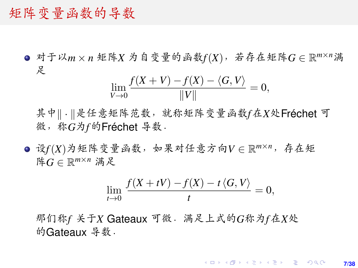### 矩阵变量函数的导数

<sup>对</sup>于以*<sup>m</sup>* <sup>×</sup> *<sup>n</sup>* <sup>矩</sup>阵*<sup>X</sup>* <sup>为</sup>自变量的函数*f*(*X*),若存在矩阵*<sup>G</sup>* <sup>∈</sup> <sup>R</sup> *<sup>m</sup>*×*n*满 足

$$
\lim_{V \to 0} \frac{f(X + V) - f(X) - \langle G, V \rangle}{\|V\|} = 0,
$$

其中|| . ||是任意矩阵范数,就称矩阵变量函数*f*在X处Fréchet 可 微,称*G*为*f*的Fréchet <sup>导</sup>数.

<sup>设</sup>*f*(*X*)为矩阵变量函数,如果对任意方向*<sup>V</sup>* <sup>∈</sup> <sup>R</sup> *<sup>m</sup>*×*n*,存在矩 <sup>阵</sup>*<sup>G</sup>* <sup>∈</sup> <sup>R</sup> *<sup>m</sup>*×*<sup>n</sup>* 满足

$$
\lim_{t \to 0} \frac{f(X + tV) - f(X) - t \langle G, V \rangle}{t} = 0,
$$

<sup>那</sup>们称*<sup>f</sup>* <sup>关</sup>于*<sup>X</sup>* Gateaux <sup>可</sup>微.满足上式的*G*称为*f*在*X*<sup>处</sup> 的Gateaux 导数.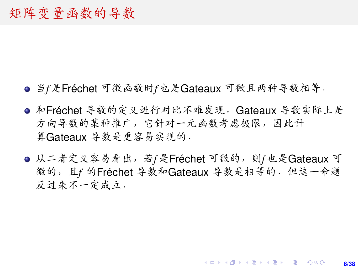- 当*f*是Fréchet <sup>可</sup>微函数时*f*也是Gateaux <sup>可</sup>微且两种导数相等.
- <sup>和</sup>Fréchet <sup>导</sup>数的定义进行对比不难发现,Gateaux <sup>导</sup>数实际上<sup>是</sup> <sup>方</sup>向导数的某种推广,它针对一元函数考虑极限,因此<sup>计</sup> 算Gateaux <sup>导</sup>数是更容易实现的.
- 从二者定义容易看出,若f是Fréchet 可微的,则f也是Gateaux 可 微的,且*<sup>f</sup>* <sup>的</sup>Fréchet <sup>导</sup>数和Gateaux <sup>导</sup>数是相等的.但这一命题 <sup>反</sup>过来不一定成立.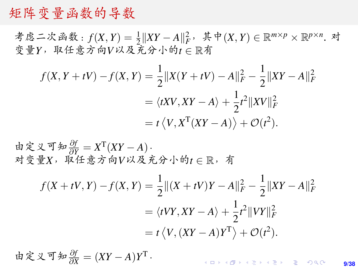### 矩阵变量函数的导数

考虑二次函数:  $f(X, Y) = \frac{1}{2} ||XY - A||_F^2$ , 其中 $(X, Y) \in \mathbb{R}^{m \times p} \times \mathbb{R}^{p \times n}$ . 对 <sup>变</sup>量*Y*,取任意方向*V*以及充分小的*<sup>t</sup>* <sup>∈</sup> <sup>R</sup><sup>有</sup>

$$
f(X, Y + tV) - f(X, Y) = \frac{1}{2} ||X(Y + tV) - A||_F^2 - \frac{1}{2} ||XY - A||_F^2
$$
  
=  $\langle tXV, XY - A \rangle + \frac{1}{2}t^2 ||XV||_F^2$   
=  $t \langle V, X^T (XY - A) \rangle + \mathcal{O}(t^2).$ 

由定义可知 <sup>∂</sup>*<sup>f</sup>* <sup>∂</sup>*<sup>Y</sup>* = *X* T (*XY* <sup>−</sup> *<sup>A</sup>*). <sup>对</sup>变量*X*,取任意方向*V*以及充分小的*<sup>t</sup>* <sup>∈</sup> <sup>R</sup>,<sup>有</sup>

$$
f(X + tV, Y) - f(X, Y) = \frac{1}{2} ||(X + tV)Y - A||_F^2 - \frac{1}{2} ||XY - A||_F^2
$$
  
=  $\langle tVY, XY - A \rangle + \frac{1}{2}t^2 ||VY||_F^2$   
=  $t \langle V, (XY - A)Y^T \rangle + \mathcal{O}(t^2).$ 

由定义可知 <sup>∂</sup>*<sup>f</sup>* <sup>∂</sup>*<sup>X</sup>* = (*XY* − *A*)*Y* T.

KO KKO KARA VE KARA **9/38**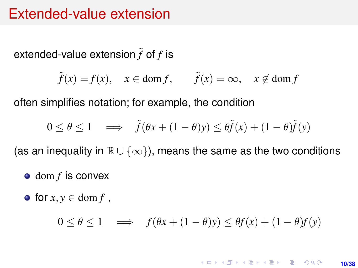### Extended-value extension

extended-value extension  $\tilde{f}$  of  $f$  is

$$
\tilde{f}(x) = f(x), \quad x \in \text{dom } f, \quad \tilde{f}(x) = \infty, \quad x \notin \text{dom } f
$$

often simplifies notation; for example, the condition

$$
0 \le \theta \le 1 \quad \implies \quad \tilde{f}(\theta x + (1 - \theta)y) \le \theta \tilde{f}(x) + (1 - \theta)\tilde{f}(y)
$$

(as an inequality in  $\mathbb{R} \cup \{\infty\}$ ), means the same as the two conditions

- $\bullet$  dom *f* is convex
- $\bullet$  for  $x, y \in \text{dom } f$ .

$$
0 \le \theta \le 1 \quad \implies \quad f(\theta x + (1 - \theta)y) \le \theta f(x) + (1 - \theta)f(y)
$$

**KORKARK KERKER DRAM 10/38**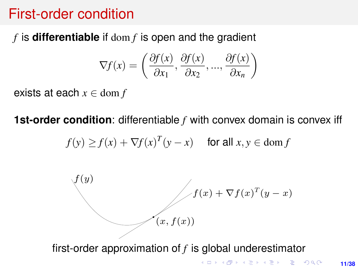### First-order condition

# $f$  is **differentiable** if  $\text{dom } f$  is open and the gradient

$$
\nabla f(x) = \left(\frac{\partial f(x)}{\partial x_1}, \frac{\partial f(x)}{\partial x_2}, \dots, \frac{\partial f(x)}{\partial x_n}\right)
$$

exists at each  $x \in \text{dom } f$ 

**1st-order condition**: differentiable f with convex domain is convex iff

$$
f(y) \ge f(x) + \nabla f(x)^T (y - x) \quad \text{ for all } x, y \in \text{dom } f
$$



first-order approximation of  $f$  is global underestimator

KORK ERKER ERKER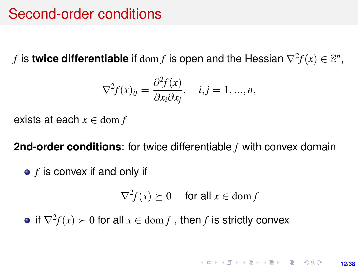### Second-order conditions

*f* is **twice differentiable** if  $\text{dom } f$  is open and the Hessian  $\nabla^2 f(x) \in \mathbb{S}^n$ ,

$$
\nabla^2 f(x)_{ij} = \frac{\partial^2 f(x)}{\partial x_i \partial x_j}, \quad i, j = 1, ..., n,
$$

exists at each *x* ∈ dom *f*

**2nd-order conditions**: for twice differentiable *f* with convex domain

*f* is convex if and only if

$$
\nabla^2 f(x) \succeq 0 \quad \text{ for all } x \in \text{dom } f
$$

if  $\nabla^2 f(x) \succ 0$  for all  $x \in \text{dom } f$  , then  $f$  is strictly convex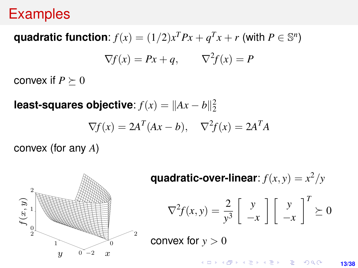#### Examples Examples

# quadratic function:  $f(x) = (1/2)x^T P x + q^T x + r$  (with  $P \in \mathbb{S}^n$ )  $\nabla f(x) = Px + q, \qquad \nabla^2 f(x) = P$

convex if  $P \succeq 0$ 

**least-squares objective:**  $f(x) = ||Ax - b||_2^2$ 

$$
\nabla f(x) = 2A^T (Ax - b), \quad \nabla^2 f(x) = 2A^T A
$$

convex (for any *A*)

 $f(x, y)$ 

 $^{2}$ 0Ţ 1  $^{2}$ 

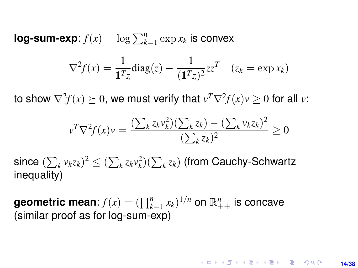**log-sum-exp**:  $f(x) = \log \sum_{k=1}^{n} \exp x_k$  is convex

$$
\nabla^2 f(x) = \frac{1}{\mathbf{1}^T z} \text{diag}(z) - \frac{1}{(\mathbf{1}^T z)^2} z z^T \quad (z_k = \exp x_k)
$$

to show  $\nabla^2 f(x) \succeq 0$ , we must verify that  $v^T \nabla^2 f(x) v \geq 0$  for all  $v$ :

$$
v^T \nabla^2 f(x) v = \frac{\left(\sum_k z_k v_k^2\right) \left(\sum_k z_k\right) - \left(\sum_k v_k z_k\right)^2}{\left(\sum_k z_k\right)^2} \ge 0
$$

 $\sum_{k} v_k z_k$ )<sup>2</sup>  $\leq (\sum_{k} z_k v_k^2)(\sum_{k} z_k)$  (from Cauchy-Schwartz inequality)

**geometric mean:**  $f(x) = (\prod_{k=1}^{n} x_k)^{1/n}$  on  $\mathbb{R}^n_{++}$  is concave (similar proof as for log-sum-exp)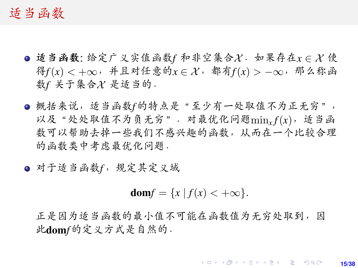#### <sup>适</sup>当函<sup>数</sup>

- <sup>适</sup>当函数: <sup>给</sup>定广义实值函数*<sup>f</sup>* <sup>和</sup>非空集合X.如果存在*<sup>x</sup>* ∈ X <sup>使</sup> 得*f*(*x*) <sup>&</sup>lt; <sup>+</sup>∞,并且对任意的*<sup>x</sup>* ∈ X,都有*f*(*x*) <sup>&</sup>gt; −∞,那么称<sup>函</sup> 数*f* 关于集合入是适当的.
- **概括来说,适当函数f的特点是"至少有一处取值不为正无穷",** <sup>以</sup>及"处处取值不为负无穷".对最优化问题min*<sup>x</sup> <sup>f</sup>*(*x*),适当<sup>函</sup> <sup>数</sup>可以帮助去掉一些我们不感兴趣的函数,从而在一个比较合<sup>理</sup> <sup>的</sup>函数类中考虑最优化问题.

<sup>对</sup>于适当函数*f*,规定其定义<sup>域</sup>

$$
\mathbf{dom} f = \{x \mid f(x) < +\infty\}.
$$

正是因为适当函数的最小值不可能在函数值为无穷处取到,<sup>因</sup> 此dom*f*的定义方式是自然的.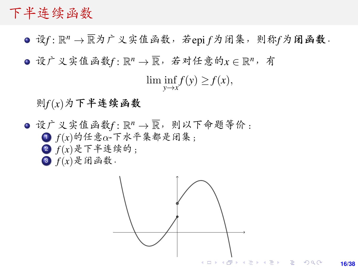### <span id="page-15-0"></span>下半连续函数

- 设*f* : R *<sup>n</sup>* <sup>→</sup> <sup>R</sup>为广义实值函数,若epi *<sup>f</sup>*为闭集,则称*f*为闭函数.
- 设广义实值函数f :  $\mathbb{R}^n$  →  $\overline{\mathbb{R}}$ , 若对任意的 $x \in \mathbb{R}^n$ , 有

 $\liminf_{y \to x} f(y) \geq f(x),$ 

#### 则*f*(*x*)为下半连续函数

设广义实值函数f: R<sup>n</sup> → R, 则以下命题等价:<br>● f(x)的任意o-下水平集都是闭集: <sup>1</sup> *f*(*x*)的任意α-下水平集都是闭集; <sup>2</sup> *f*(*x*)是下半连续的;  $f(x)$ 是闭函数.



**16/38**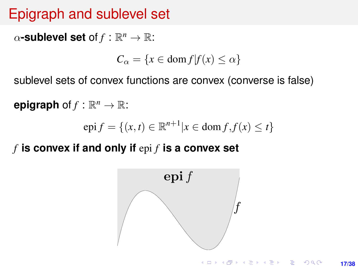# Epigraph and sublevel set

<span id="page-16-0"></span> $\alpha$ -sublevel set of  $f : \mathbb{R}^n \to \mathbb{R}$ :

 $C_{\alpha} = \{x \in \text{dom } f | f(x) \leq \alpha\}$ 

sublevel sets of convex functions are convex (converse is false) sublevel sets of convex functions are convex (converse is false)

**epigraph** of  $f : \mathbb{R}^n \to \mathbb{R}$ :

$$
epi f = \{(x, t) \in \mathbb{R}^{n+1} | x \in dom f, f(x) \le t\}
$$

 $f$  **is convex if and only if**  $\mathrm{epi}\, f$  **is a convex set** 

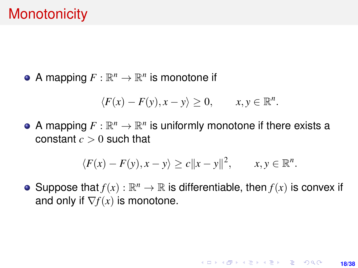<span id="page-17-0"></span>A mapping  $F: \mathbb{R}^n \to \mathbb{R}^n$  is monotone if

$$
\langle F(x)-F(y), x-y\rangle \geq 0, \qquad x, y \in \mathbb{R}^n.
$$

A mapping  $F: \mathbb{R}^n \to \mathbb{R}^n$  is uniformly monotone if there exists a constant  $c > 0$  such that

$$
\langle F(x)-F(y), x-y\rangle \ge c||x-y||^2, \qquad x, y \in \mathbb{R}^n.
$$

Suppose that  $f(x): \mathbb{R}^n \to \mathbb{R}$  is differentiable, then  $f(x)$  is convex if and only if  $\nabla f(x)$  is monotone.

**18/38**

KO KARK KEK LE KORA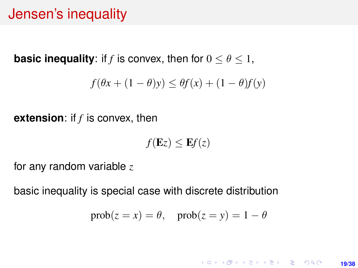## Jensen's inequality

**basic inequality:** if *f* is convex, then for  $0 \le \theta \le 1$ ,

$$
f(\theta x + (1 - \theta)y) \le \theta f(x) + (1 - \theta)f(y)
$$

**extension**: if *f* is convex, then

 $f(\mathbf{E}z) \leq \mathbf{E}f(z)$ 

for any random variable *z*

basic inequality is special case with discrete distribution

$$
prob(z = x) = \theta, \quad prob(z = y) = 1 - \theta
$$

**KORKARK KERKER DRAM 19/38**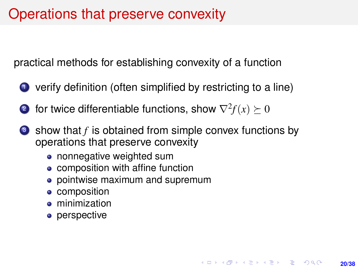### Operations that preserve convexity

practical methods for establishing convexity of a function

- <sup>1</sup> verify definition (often simplified by restricting to a line)
- 2 for twice differentiable functions, show  $\nabla^2 f(x) \succeq 0$
- **3** show that *f* is obtained from simple convex functions by operations that preserve convexity
	- nonnegative weighted sum
	- composition with affine function
	- pointwise maximum and supremum
	- composition
	- **•** minimization
	- perspective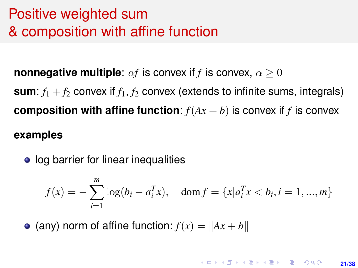# Positive weighted sum & composition with affine function

**nonnegative multiple**:  $\alpha f$  is convex if *f* is convex,  $\alpha > 0$ 

**sum**:  $f_1 + f_2$  convex if  $f_1, f_2$  convex (extends to infinite sums, integrals) **composition with affine function:**  $f(Ax + b)$  is convex if *f* is convex

### **examples**

• log barrier for linear inequalities

$$
f(x) = -\sum_{i=1}^{m} \log(b_i - a_i^T x), \quad \text{dom } f = \{x | a_i^T x < b_i, i = 1, ..., m\}
$$

• (any) norm of affine function:  $f(x) = ||Ax + b||$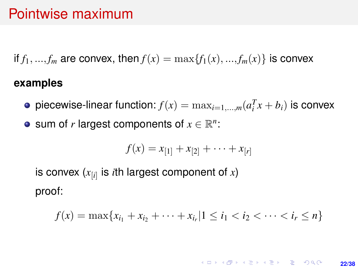### Pointwise maximum

if  $f_1, ..., f_m$  are convex, then  $f(x) = \max\{f_1(x), ..., f_m(x)\}\)$  is convex

### **examples**

- piecewise-linear function:  $f(x) = \max_{i=1,\dots,m} (a_i^T x + b_i)$  is convex
- sum of *r* largest components of  $x \in \mathbb{R}^n$ :

$$
f(x) = x_{[1]} + x_{[2]} + \cdots + x_{[r]}
$$

is convex (*x*[*i*] is *i*th largest component of *x*) proof:

$$
f(x) = \max\{x_{i_1} + x_{i_2} + \cdots + x_{i_r} | 1 \leq i_1 < i_2 < \cdots < i_r \leq n\}
$$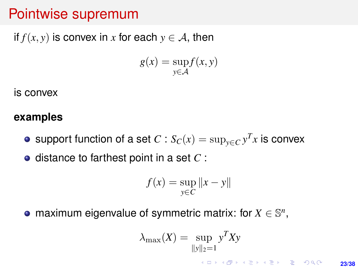### Pointwise supremum

if  $f(x, y)$  is convex in *x* for each  $y \in A$ , then

$$
g(x) = \sup_{y \in \mathcal{A}} f(x, y)
$$

is convex

#### **examples**

support function of a set  $C$  :  $S_C(x) = \sup_{y \in C} y^T x$  is convex

**o** distance to farthest point in a set C :

$$
f(x) = \sup_{y \in C} ||x - y||
$$

maximum eigenvalue of symmetric matrix: for  $X \in \mathbb{S}^n$ ,

$$
\lambda_{\max}(X) = \sup_{\|y\|_2 = 1} y^T X y
$$

**23/38**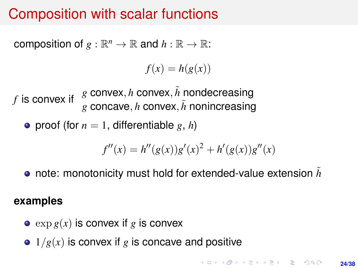### Composition with scalar functions

composition of  $g : \mathbb{R}^n \to \mathbb{R}$  and  $h : \mathbb{R} \to \mathbb{R}$ :

 $f(x) = h(g(x))$ 

*f* is convex if *g* convex, *h* convex,  $\tilde{h}$  nondecreasing  $g$  concave, *h* convex,  $\tilde{h}$  nonincreasing

• proof (for  $n = 1$ , differentiable g, h)

$$
f''(x) = h''(g(x))g'(x)^{2} + h'(g(x))g''(x)
$$

**o** note: monotonicity must hold for extended-value extension h

#### **examples**

- $\bullet$  exp  $g(x)$  is convex if g is convex
- $\bullet$  1/*g*(*x*) is convex if *g* is concave and positive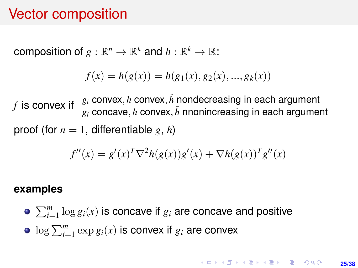### Vector composition

composition of  $g: \mathbb{R}^n \to \mathbb{R}^k$  and  $h: \mathbb{R}^k \to \mathbb{R}$ :

$$
f(x) = h(g(x)) = h(g_1(x), g_2(x), ..., g_k(x))
$$

*f* is convex if  $g_i$  convex, *h* convex,  $\tilde{h}$  nondecreasing in each argument  $g_i$  concave, *h* convex,  $\tilde{h}$  nnonincreasing in each argument proof (for  $n = 1$ , differentiable g, h)

$$
f''(x) = g'(x)^T \nabla^2 h(g(x)) g'(x) + \nabla h(g(x))^T g''(x)
$$

#### **examples**

 $\sum_{i=1}^{m} \log g_i(x)$  is concave if  $g_i$  are concave and positive  $\log \sum_{i=1}^{m} \exp g_i(x)$  is convex if  $g_i$  are convex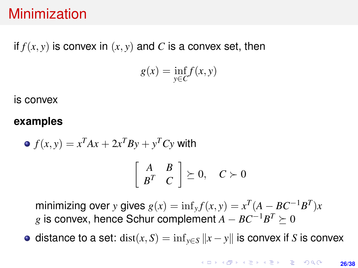### Minimization

### if  $f(x, y)$  is convex in  $(x, y)$  and C is a convex set, then

$$
g(x) = \inf_{y \in C} f(x, y)
$$

is convex

#### **examples**

$$
\bullet \ f(x, y) = x^T A x + 2x^T B y + y^T C y \text{ with}
$$

$$
\left[\begin{array}{cc} A & B \\ B^T & C \end{array}\right] \succeq 0, \quad C \succ 0
$$

minimizing over *y* gives  $g(x) = \inf_y f(x, y) = x^T (A - BC^{-1}B^T)x$ *g* is convex, hence Schur complement  $A - BC^{-1}B^T ≥ 0$ 

 $\bullet$  distance to a set: dist(*x*, *S*) = inf<sub>*v*∈*S*</sub> ||*x* − *y*|| is convex if *S* is convex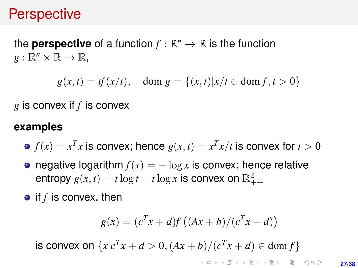### **Perspective**

### the **perspective** of a function  $f : \mathbb{R}^n \to \mathbb{R}$  is the function  $g:\mathbb{R}^n\times\mathbb{R}\to\mathbb{R}$ ,

 $g(x, t) = tf(x/t), \text{ dom } g = \{(x, t) | x/t \in \text{dom } f, t > 0 \}$ 

*g* is convex if *f* is convex

### **examples**

- $f(x) = x^T x$  is convex; hence  $g(x,t) = x^T x/t$  is convex for  $t > 0$
- negative logarithm  $f(x) = -\log x$  is convex; hence relative entropy  $g(x,t) = t \log t - t \log x$  is convex on  $\mathbb{R}^2_{++}$
- if *f* is convex, then

$$
g(x) = (cT x + d)f ((Ax + b)/(cT x + d))
$$

is convex on  $\{x|c^T x + d > 0, (Ax + b)/(c^T x + d) \in \text{dom } f\}$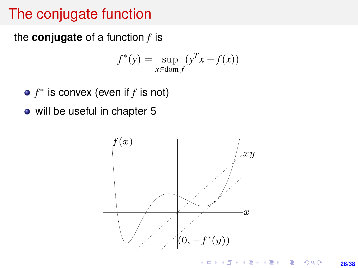## The conjugate function

the **conjugate** of a function *f* is

$$
f^*(y) = \sup_{x \in \text{dom } f} (y^T x - f(x))
$$

*f* ∗ is convex (even if *f* is not)

will be useful in chapter 5 x∈dom f

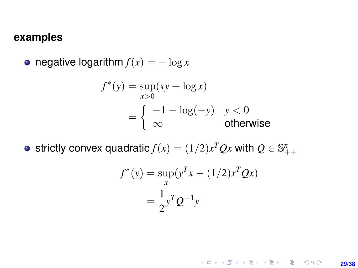#### <span id="page-28-0"></span>**examples**

• negative logarithm  $f(x) = -\log x$ 

$$
f^*(y) = \sup_{x>0} (xy + \log x)
$$
  
= 
$$
\begin{cases} -1 - \log(-y) & y < 0 \\ \infty & \text{otherwise} \end{cases}
$$

strictly convex quadratic  $f(x) = (1/2)x^T Q x$  with  $Q \in \mathbb{S}_{++}^n$ 

$$
f^*(y) = \sup_x (y^T x - (1/2)x^T Q x)
$$
  
=  $\frac{1}{2} y^T Q^{-1} y$ 

K ロ X x (倒 X X 至 X X 至 X → ① N Q Q → **29/38**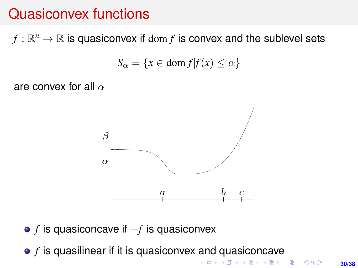### <span id="page-29-0"></span>Quasiconvex functions

 $f : \mathbb{R}^n \to \mathbb{R}$  is quasiconvex if  $\text{dom } f$  is convex and the sublevel sets

$$
S_{\alpha} = \{ x \in \text{dom } f | f(x) \le \alpha \}
$$

are convex for all  $\alpha$ 



• f is quasiconcave if −f is quasiconvex *f* is quasiconcave if −*f* is quasiconvex

• f is quasilinear if it is quasiconvex an[d q](#page-28-0)[u](#page-30-0)[a](#page-28-0)[sic](#page-29-0)[o](#page-30-0)[nc](#page-0-0)[a](#page-37-0)[ve](#page-0-0) *f* is quasilinear if it is quasiconvex and quasiconcave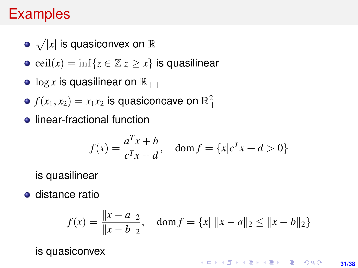## <span id="page-30-0"></span>Examples

- $\sqrt{|x|}$  is quasiconvex on R
- ceil $(x) = \inf\{z \in \mathbb{Z} | z \geq x\}$  is quasilinear
- $\bullet$  log x is quasilinear on  $\mathbb{R}_{++}$
- $f(x_1,x_2)=x_1x_2$  is quasiconcave on  $\mathbb{R}^2_{++}$
- **•** linear-fractional function

$$
f(x) = \frac{a^T x + b}{c^T x + d}, \quad \text{dom } f = \{x | c^T x + d > 0\}
$$

is quasilinear

**o** distance ratio

$$
f(x) = \frac{\|x - a\|_2}{\|x - b\|_2}, \quad \text{dom}\, f = \{x \mid \|x - a\|_2 \le \|x - b\|_2\}
$$

is quasiconvex

**KORKARK A BIK BIKA A GA A GA A GA A BIKA A BIKA A BIKA A BIKA A BIKA A BIKA A BIKA A BIKA A BIKA A BIKA A BIKA 31/38**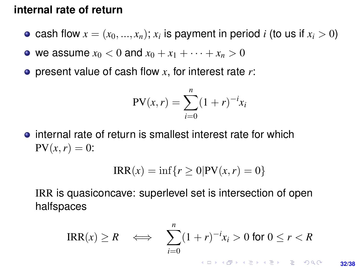#### <span id="page-31-0"></span>**internal rate of return**

- cash flow  $x = (x_0, ..., x_n)$ ;  $x_i$  is payment in period *i* (to us if  $x_i > 0$ )
- we assume  $x_0 < 0$  and  $x_0 + x_1 + \cdots + x_n > 0$
- present value of cash flow *x*, for interest rate *r*:

$$
PV(x,r) = \sum_{i=0}^{n} (1+r)^{-i}x_i
$$

• internal rate of return is smallest interest rate for which  $PV(x, r) = 0$ :

$$
IRR(x) = \inf\{r \ge 0 | PV(x, r) = 0\}
$$

IRR is quasiconcave: superlevel set is intersection of open halfspaces

$$
\text{IRR}(x) \ge R \quad \Longleftrightarrow \quad \sum_{i=0}^{n} (1+r)^{-i} x_i > 0 \text{ for } 0 \le r < R
$$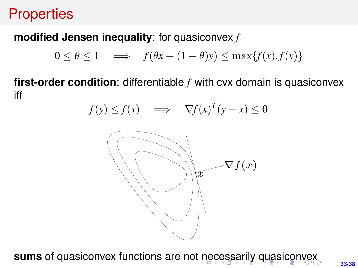# **Properties** and  $\mathbf{p}$  and  $\mathbf{p}$  and  $\mathbf{p}$

# <span id="page-32-0"></span>**modified Jensen inequality**: for quasiconvex  $f$

$$
0 \le \theta \le 1 \quad \implies \quad f(\theta x + (1 - \theta)y) \le \max\{f(x), f(y)\}
$$

first-order condition: differentiable  $f$  with cvx domain is quasiconvex iff

$$
f(y) \le f(x) \implies \nabla f(x)^T (y - x) \le 0
$$



sums of quasiconvex functions are not nec[ess](#page-31-0)[ar](#page-33-0)[il](#page-31-0)[y](#page-32-0) [q](#page-33-0)[u](#page-0-0)[asi](#page-37-0)[co](#page-0-0)[n](#page-37-0)[ve](#page-0-0)[x](#page-37-0) **sums** of quasiconvex functions are not necessarily quasiconvex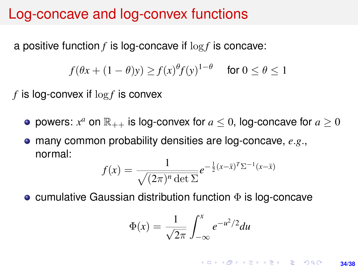### <span id="page-33-0"></span>Log-concave and log-convex functions

a positive function *f* is log-concave if log *f* is concave:

$$
f(\theta x + (1 - \theta)y) \ge f(x)^{\theta} f(y)^{1-\theta}
$$
 for  $0 \le \theta \le 1$ 

*f* is log-convex if log *f* is convex

- powers:  $x^a$  on  $\mathbb{R}_{++}$  is log-convex for  $a \leq 0$ , log-concave for  $a \geq 0$
- many common probability densities are log-concave, *e*.*g*., normal:

$$
f(x) = \frac{1}{\sqrt{(2\pi)^n \det \Sigma}} e^{-\frac{1}{2}(x-\bar{x})^T \Sigma^{-1} (x-\bar{x})}
$$

**• cumulative Gaussian distribution function**  $\Phi$  **is log-concave** 

$$
\Phi(x) = \frac{1}{\sqrt{2\pi}} \int_{-\infty}^{x} e^{-u^2/2} du
$$

**KORKARK A BIK BIKA A GA A GA A GA A BIKA A BIKA A BIKA A BIKA A BIKA A BIKA A BIKA A BIKA A BIKA A BIKA A BIKA 34/38**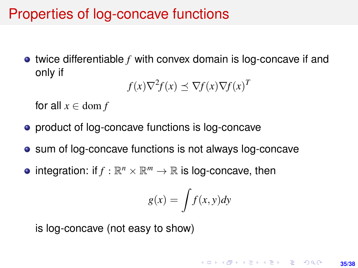### Properties of log-concave functions

twice differentiable *f* with convex domain is log-concave if and only if

 $f(x)\nabla^2 f(x) \preceq \nabla f(x)\nabla f(x)^T$ 

for all  $x \in \text{dom } f$ 

- **•** product of log-concave functions is log-concave
- sum of log-concave functions is not always log-concave
- integration: if  $f : \mathbb{R}^n \times \mathbb{R}^m \to \mathbb{R}$  is log-concave, then

$$
g(x) = \int f(x, y) dy
$$

is log-concave (not easy to show)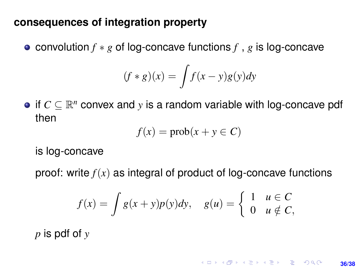#### **consequences of integration property**

convolution *f* ∗ *g* of log-concave functions *f* , *g* is log-concave

$$
(f * g)(x) = \int f(x - y)g(y)dy
$$

if  $C \subseteq \mathbb{R}^n$  convex and *y* is a random variable with log-concave pdf then

$$
f(x) = \text{prob}(x + y \in C)
$$

is log-concave

proof: write  $f(x)$  as integral of product of log-concave functions

$$
f(x) = \int g(x+y)p(y)dy, \quad g(u) = \begin{cases} 1 & u \in C \\ 0 & u \notin C, \end{cases}
$$

*p* is pdf of *y*

**KORKARKKERK E VAN 36/38**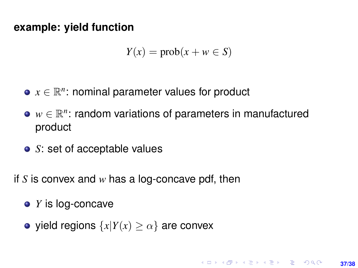#### **example: yield function**

$$
Y(x) = \text{prob}(x + w \in S)
$$

- $x \in \mathbb{R}^n$ : nominal parameter values for product
- *w* ∈  $\mathbb{R}^n$ : random variations of parameters in manufactured product
- *S*: set of acceptable values
- if *S* is convex and *w* has a log-concave pdf, then
	- *Y* is log-concave
	- yield regions  $\{x | Y(x) \ge \alpha\}$  are convex